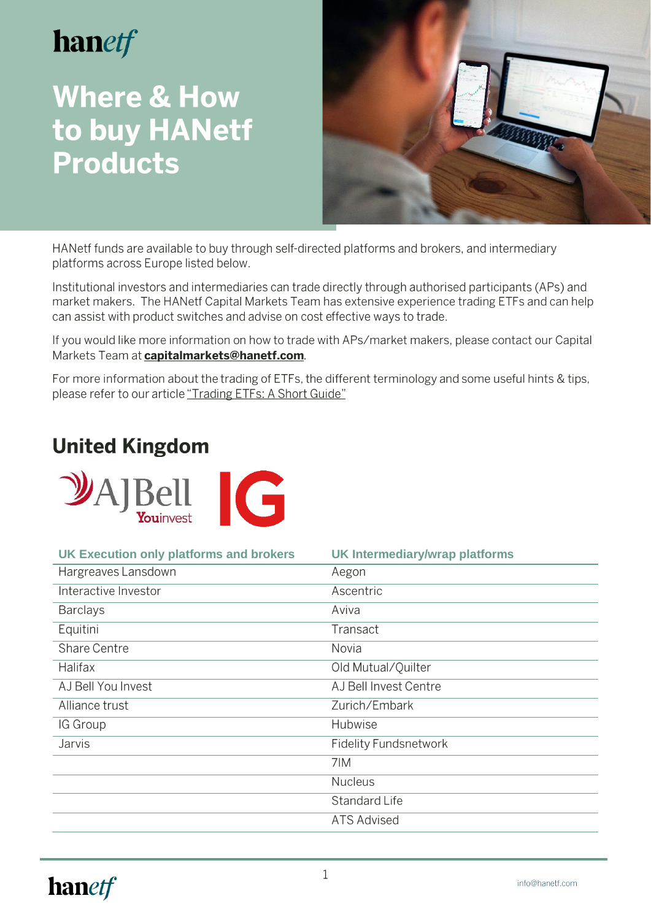# hanetf

## **Where & How** to buy HANetf **Products**



HANetf funds are available to buy through self-directed platforms and brokers, and intermediary platforms across Europe listed below.

Institutional investors and intermediaries can trade directly through authorised participants (APs) and market makers. The HANetf Capital Markets Team has extensive experience trading ETFs and can help can assist with product switches and advise on cost effective ways to trade.

If you would like more information on how to trade with APs/market makers, please contact our Capital Markets Team at capitalmarkets@hanetf.com.

For more information about the trading of ETFs, the different terminology and some useful hints & tips, please refer to our article "Trading ETFs: A Short Guide"

### **United Kingdom**



| <b>UK Execution only platforms and brokers</b> | <b>UK Intermediary/wrap platforms</b> |
|------------------------------------------------|---------------------------------------|
| Hargreaves Lansdown                            | Aegon                                 |
| Interactive Investor                           | Ascentric                             |
| <b>Barclays</b>                                | Aviva                                 |
| Equitini                                       | Transact                              |
| Share Centre                                   | Novia                                 |
| <b>Halifax</b>                                 | Old Mutual/Quilter                    |
| AJ Bell You Invest                             | AJ Bell Invest Centre                 |
| Alliance trust                                 | Zurich/Embark                         |
| IG Group                                       | Hubwise                               |
| Jarvis                                         | <b>Fidelity Fundsnetwork</b>          |
|                                                | 7IM                                   |
|                                                | <b>Nucleus</b>                        |
|                                                | Standard Life                         |
|                                                | <b>ATS Advised</b>                    |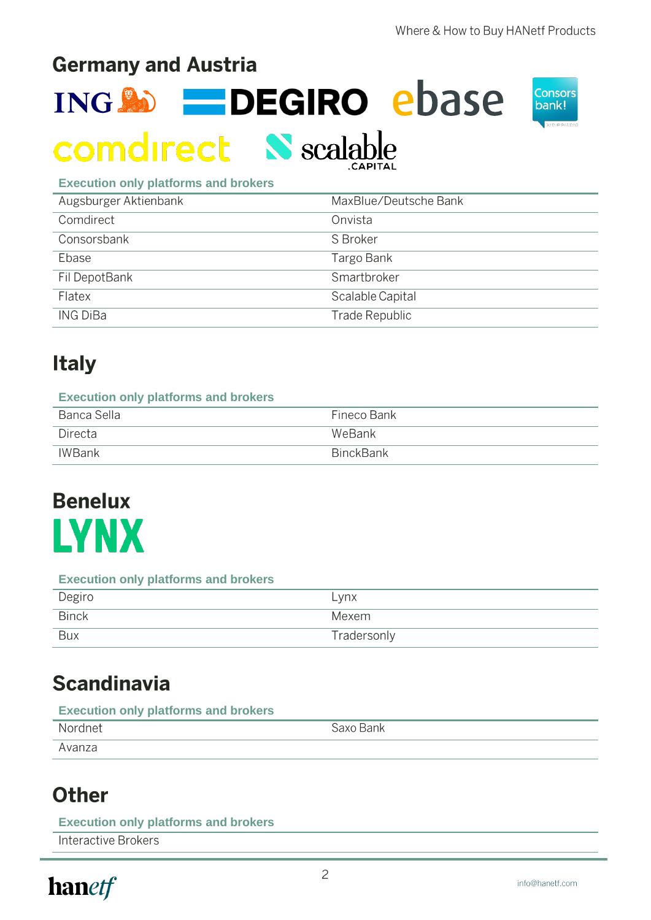### **Germany and Austria**

ING **30 - DEGIRO** ebase



# **comdirect N** scalable

| <b>Execution only platforms and brokers</b> |  |  |  |  |
|---------------------------------------------|--|--|--|--|
|---------------------------------------------|--|--|--|--|

| Augsburger Aktienbank | MaxBlue/Deutsche Bank |
|-----------------------|-----------------------|
| Comdirect             | Onvista               |
| Consorsbank           | S Broker              |
| Ebase                 | Targo Bank            |
| Fil DepotBank         | Smartbroker           |
| Flatex                | Scalable Capital      |
| <b>ING DiBa</b>       | Trade Republic        |

### **Italy**

| <b>Execution only platforms and brokers</b> |                  |  |
|---------------------------------------------|------------------|--|
| Banca Sella                                 | Fineco Bank      |  |
| Directa                                     | WeBank           |  |
| IWBank                                      | <b>BinckBank</b> |  |

# **Benelux LYNX**

#### **Execution only platforms and brokers**

| Degiro       | Lynx        |
|--------------|-------------|
| <b>Binck</b> | Mexem       |
| <b>Bux</b>   | Tradersonly |

### **Scandinavia**

#### **Execution only platforms and brokers**

| Nordnet | <sup>್</sup> axo Bank |
|---------|-----------------------|
| Avanza  |                       |

### **Other**

#### **Execution only platforms and brokers**

**Interactive Brokers** 

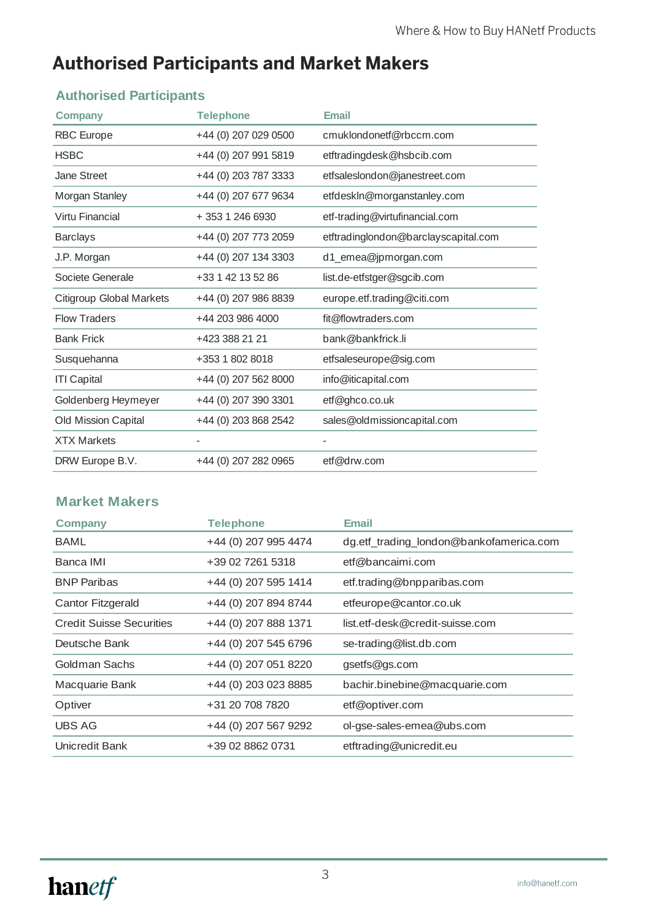### **Authorised Participants and Market Makers**

### **Authorised Participants**

| <b>Company</b>                  | <b>Telephone</b>     | <b>Email</b>                         |
|---------------------------------|----------------------|--------------------------------------|
| <b>RBC</b> Europe               | +44 (0) 207 029 0500 | cmuklondonetf@rbccm.com              |
| <b>HSBC</b>                     | +44 (0) 207 991 5819 | etftradingdesk@hsbcib.com            |
| Jane Street                     | +44 (0) 203 787 3333 | etfsaleslondon@janestreet.com        |
| Morgan Stanley                  | +44 (0) 207 677 9634 | etfdeskIn@morganstanley.com          |
| Virtu Financial                 | + 353 1 246 6930     | etf-trading@virtufinancial.com       |
| <b>Barclays</b>                 | +44 (0) 207 773 2059 | etftradinglondon@barclayscapital.com |
| J.P. Morgan                     | +44 (0) 207 134 3303 | d1_emea@jpmorgan.com                 |
| Societe Generale                | +33 1 42 13 52 86    | list.de-etfstger@sgcib.com           |
| <b>Citigroup Global Markets</b> | +44 (0) 207 986 8839 | europe.etf.trading@citi.com          |
| <b>Flow Traders</b>             | +44 203 986 4000     | fit@flowtraders.com                  |
| <b>Bank Frick</b>               | +423 388 21 21       | bank@bankfrick.li                    |
| Susquehanna                     | +353 1 802 8018      | etfsaleseurope@sig.com               |
| <b>ITI Capital</b>              | +44 (0) 207 562 8000 | info@iticapital.com                  |
| Goldenberg Heymeyer             | +44 (0) 207 390 3301 | etf@ghco.co.uk                       |
| Old Mission Capital             | +44 (0) 203 868 2542 | sales@oldmissioncapital.com          |
| <b>XTX Markets</b>              |                      |                                      |
| DRW Europe B.V.                 | +44 (0) 207 282 0965 | etf@drw.com                          |

### **Market Makers**

| <b>Company</b>                  | <b>Telephone</b>     | <b>Email</b>                            |
|---------------------------------|----------------------|-----------------------------------------|
| <b>BAML</b>                     | +44 (0) 207 995 4474 | dg.etf_trading_london@bankofamerica.com |
| Banca IMI                       | +39 02 7261 5318     | etf@bancaimi.com                        |
| <b>BNP Paribas</b>              | +44 (0) 207 595 1414 | etf.trading@bnpparibas.com              |
| Cantor Fitzgerald               | +44 (0) 207 894 8744 | etfeurope@cantor.co.uk                  |
| <b>Credit Suisse Securities</b> | +44 (0) 207 888 1371 | list.etf-desk@credit-suisse.com         |
| Deutsche Bank                   | +44 (0) 207 545 6796 | se-trading@list.db.com                  |
| Goldman Sachs                   | +44 (0) 207 051 8220 | gsetfs@gs.com                           |
| Macquarie Bank                  | +44 (0) 203 023 8885 | bachir.binebine@macquarie.com           |
| Optiver                         | +31 20 708 7820      | etf@optiver.com                         |
| <b>UBS AG</b>                   | +44 (0) 207 567 9292 | ol-gse-sales-emea@ubs.com               |
| Unicredit Bank                  | +39 02 8862 0731     | etftrading@unicredit.eu                 |